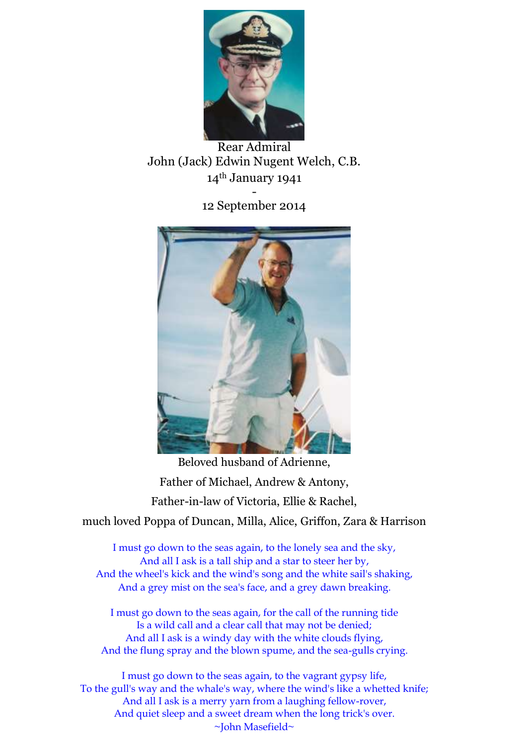

Rear Admiral John (Jack) Edwin Nugent Welch, C.B. 14th January 1941 -

12 September 2014



Beloved husband of Adrienne, Father of Michael, Andrew & Antony, Father-in-law of Victoria, Ellie & Rachel,

much loved Poppa of Duncan, Milla, Alice, Griffon, Zara & Harrison

I must go down to the seas again, to the lonely sea and the sky, And all I ask is a tall ship and a star to steer her by, And the wheel's kick and the wind's song and the white sail's shaking, And a grey mist on the sea's face, and a grey dawn breaking.

I must go down to the seas again, for the call of the running tide Is a wild call and a clear call that may not be denied; And all I ask is a windy day with the white clouds flying, And the flung spray and the blown spume, and the sea-gulls crying.

I must go down to the seas again, to the vagrant gypsy life, To the gull's way and the whale's way, where the wind's like a whetted knife; And all I ask is a merry yarn from a laughing fellow-rover, And quiet sleep and a sweet dream when the long trick's over. ~John Masefield~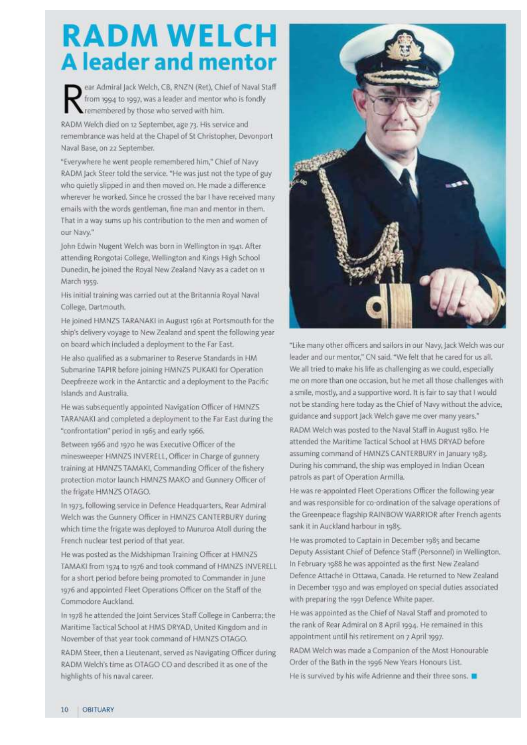## **RADM WELCH A leader and mentor**

ear Admiral Jack Welch, CB, RNZN (Ret), Chief of Naval Staff from 1994 to 1997, was a leader and mentor who is fondly remembered by those who served with him.

RADM Welch died on 12 September, age 73. His service and remembrance was held at the Chapel of St Christopher, Devonport Naval Base, on 22 September.

"Everywhere he went people remembered him," Chief of Navy RADM Jack Steer told the service. "He was just not the type of guy who quietly slipped in and then moved on. He made a difference wherever he worked. Since he crossed the bar I have received many emails with the words gentleman, fine man and mentor in them. That in a way sums up his contribution to the men and women of our Navy."

John Edwin Nugent Welch was born in Wellington in 1941. After attending Rongotai College, Wellington and Kings High School Dunedin, he joined the Royal New Zealand Navy as a cadet on 11 March 1959.

His initial training was carried out at the Britannia Royal Naval College, Dartmouth.

He joined HMNZS TARANAKI in August 1961 at Portsmouth for the ship's delivery voyage to New Zealand and spent the following year on board which included a deployment to the Far East.

He also qualified as a submariner to Reserve Standards in HM Submarine TAPIR before joining HMNZS PUKAKI for Operation Deepfreeze work in the Antarctic and a deployment to the Pacific Islands and Australia.

He was subsequently appointed Navigation Officer of HMNZS TARANAKI and completed a deployment to the Far East during the "confrontation" period in 1965 and early 1966.

Between 1966 and 1970 he was Executive Officer of the minesweeper HMNZS INVERELL, Officer in Charge of gunnery training at HMNZS TAMAKI, Commanding Officer of the fishery protection motor launch HMNZS MAKO and Gunnery Officer of the frigate HMNZS OTAGO.

In 1973, following service in Defence Headquarters, Rear Admiral Welch was the Gunnery Officer in HMNZS CANTERBURY during which time the frigate was deployed to Mururoa Atoll during the French nuclear test period of that year.

He was posted as the Midshipman Training Officer at HMNZS TAMAKI from 1974 to 1976 and took command of HMNZS INVERELL for a short period before being promoted to Commander in June 1976 and appointed Fleet Operations Officer on the Staff of the Commodore Auckland.

In 1978 he attended the Joint Services Staff College in Canberra; the Maritime Tactical School at HMS DRYAD, United Kingdom and in November of that year took command of HMNZS OTAGO.

RADM Steer, then a Lieutenant, served as Navigating Officer during RADM Welch's time as OTAGO CO and described it as one of the highlights of his naval career.



"Like many other officers and sallors in our Navy, lack Welch was our leader and our mentor," CN said. "We felt that he cared for us all. We all tried to make his life as challenging as we could, especially me on more than one occasion, but he met all those challenges with a smile, mostly, and a supportive word. It is fair to say that I would not be standing here today as the Chief of Navy without the advice, guidance and support Jack Welch gave me over many years."

RADM Welch was posted to the Naval Staff in August 1980. He attended the Maritime Tactical School at HMS DRYAD before assuming command of HMNZS CANTERBURY in January 1983. During his command, the ship was employed in Indian Ocean patrols as part of Operation Armilla.

He was re-appointed Fleet Operations Officer the following year and was responsible for co-ordination of the salvage operations of the Greenpeace flagship RAINBOW WARRIOR after French agents sank it in Auckland harbour in 1985.

He was promoted to Captain in December 1985 and became Deputy Assistant Chief of Defence Staff (Personnel) in Wellington. In February 1988 he was appointed as the first New Zealand Defence Attaché in Ottawa, Canada. He returned to New Zealand in December 1990 and was employed on special duties associated with preparing the 1991 Defence White paper.

He was appointed as the Chief of Naval Staff and promoted to the rank of Rear Admiral on 8 April 1994. He remained in this appointment until his retirement on 7 April 1997.

RADM Welch was made a Companion of the Most Honourable Order of the Bath in the 1996 New Years Honours List.

He is survived by his wife Adrienne and their three sons.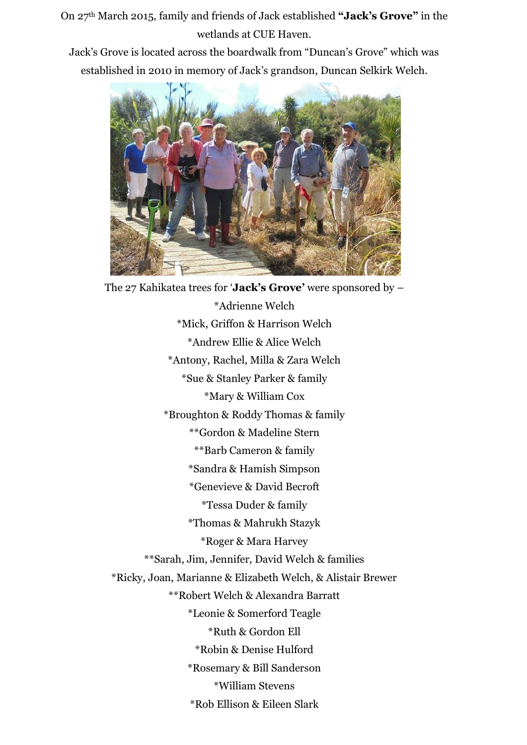On 27th March 2015, family and friends of Jack established **"Jack's Grove"** in the wetlands at CUE Haven.

Jack's Grove is located across the boardwalk from "Duncan's Grove" which was established in 2010 in memory of Jack's grandson, Duncan Selkirk Welch.



The 27 Kahikatea trees for '**Jack's Grove'** were sponsored by – \*Adrienne Welch \*Mick, Griffon & Harrison Welch \*Andrew Ellie & Alice Welch \*Antony, Rachel, Milla & Zara Welch \*Sue & Stanley Parker & family \*Mary & William Cox \*Broughton & Roddy Thomas & family \*\*Gordon & Madeline Stern \*\*Barb Cameron & family \*Sandra & Hamish Simpson \*Genevieve & David Becroft \*Tessa Duder & family \*Thomas & Mahrukh Stazyk \*Roger & Mara Harvey \*\*Sarah, Jim, Jennifer, David Welch & families \*Ricky, Joan, Marianne & Elizabeth Welch, & Alistair Brewer \*\*Robert Welch & Alexandra Barratt \*Leonie & Somerford Teagle \*Ruth & Gordon Ell \*Robin & Denise Hulford \*Rosemary & Bill Sanderson \*William Stevens \*Rob Ellison & Eileen Slark